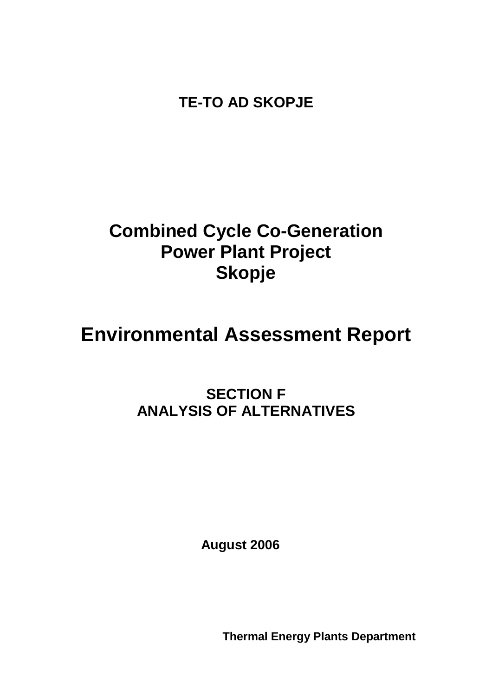**TE-TO AD SKOPJE**

## **Combined Cycle Co-Generation Power Plant Project Skopje**

# **Environmental Assessment Report**

## **SECTION F ANALYSIS OF ALTERNATIVES**

**August 2006**

**Thermal Energy Plants Department**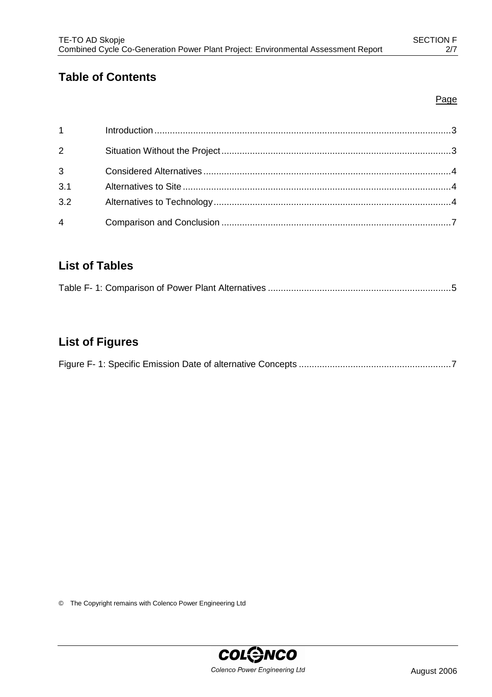## **Table of Contents**

#### Page

| $1 \quad \Box$ |  |
|----------------|--|
| $2^{\sim}$     |  |
| $3^{\circ}$    |  |
| 3.1            |  |
| 3.2            |  |
| $\overline{4}$ |  |

### **List of Tables**

|--|--|--|--|--|--|--|

## **List of Figures**

|--|--|--|--|--|

© The Copyright remains with Colenco Power Engineering Ltd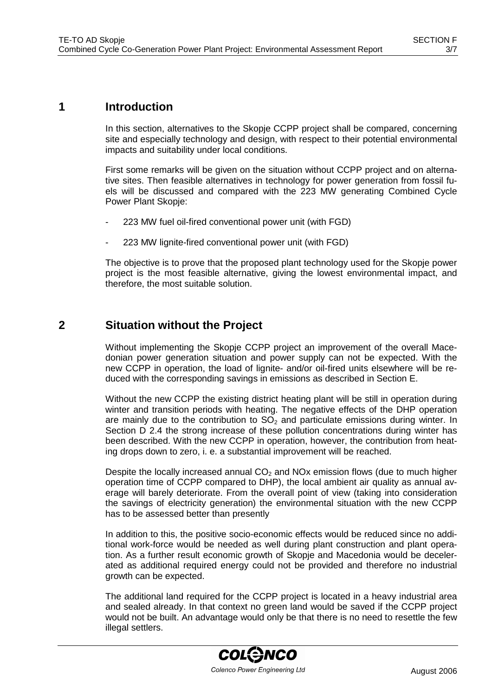#### **1 Introduction**

In this section, alternatives to the Skopje CCPP project shall be compared, concerning site and especially technology and design, with respect to their potential environmental impacts and suitability under local conditions.

First some remarks will be given on the situation without CCPP project and on alternative sites. Then feasible alternatives in technology for power generation from fossil fuels will be discussed and compared with the 223 MW generating Combined Cycle Power Plant Skopje:

- 223 MW fuel oil-fired conventional power unit (with FGD)
- 223 MW lignite-fired conventional power unit (with FGD)

The objective is to prove that the proposed plant technology used for the Skopje power project is the most feasible alternative, giving the lowest environmental impact, and therefore, the most suitable solution.

#### **2 Situation without the Project**

Without implementing the Skopje CCPP project an improvement of the overall Macedonian power generation situation and power supply can not be expected. With the new CCPP in operation, the load of lignite- and/or oil-fired units elsewhere will be reduced with the corresponding savings in emissions as described in Section E.

Without the new CCPP the existing district heating plant will be still in operation during winter and transition periods with heating. The negative effects of the DHP operation are mainly due to the contribution to  $SO<sub>2</sub>$  and particulate emissions during winter. In Section D 2.4 the strong increase of these pollution concentrations during winter has been described. With the new CCPP in operation, however, the contribution from heating drops down to zero, i. e. a substantial improvement will be reached.

Despite the locally increased annual  $CO<sub>2</sub>$  and NOx emission flows (due to much higher operation time of CCPP compared to DHP), the local ambient air quality as annual average will barely deteriorate. From the overall point of view (taking into consideration the savings of electricity generation) the environmental situation with the new CCPP has to be assessed better than presently

In addition to this, the positive socio-economic effects would be reduced since no additional work-force would be needed as well during plant construction and plant operation. As a further result economic growth of Skopje and Macedonia would be decelerated as additional required energy could not be provided and therefore no industrial growth can be expected.

The additional land required for the CCPP project is located in a heavy industrial area and sealed already. In that context no green land would be saved if the CCPP project would not be built. An advantage would only be that there is no need to resettle the few illegal settlers.

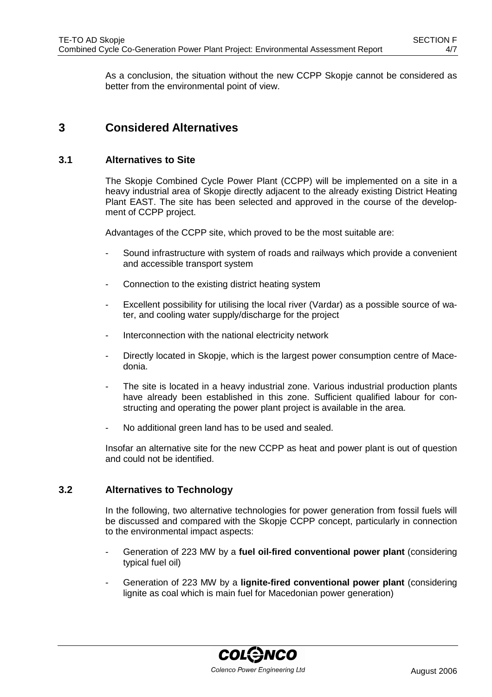As a conclusion, the situation without the new CCPP Skopje cannot be considered as better from the environmental point of view.

#### **3 Considered Alternatives**

#### **3.1 Alternatives to Site**

The Skopje Combined Cycle Power Plant (CCPP) will be implemented on a site in a heavy industrial area of Skopje directly adjacent to the already existing District Heating Plant EAST. The site has been selected and approved in the course of the development of CCPP project.

Advantages of the CCPP site, which proved to be the most suitable are:

- Sound infrastructure with system of roads and railways which provide a convenient and accessible transport system
- Connection to the existing district heating system
- Excellent possibility for utilising the local river (Vardar) as a possible source of water, and cooling water supply/discharge for the project
- Interconnection with the national electricity network
- Directly located in Skopje, which is the largest power consumption centre of Macedonia.
- The site is located in a heavy industrial zone. Various industrial production plants have already been established in this zone. Sufficient qualified labour for constructing and operating the power plant project is available in the area.
- No additional green land has to be used and sealed.

Insofar an alternative site for the new CCPP as heat and power plant is out of question and could not be identified.

#### **3.2 Alternatives to Technology**

In the following, two alternative technologies for power generation from fossil fuels will be discussed and compared with the Skopje CCPP concept, particularly in connection to the environmental impact aspects:

- Generation of 223 MW by a **fuel oil-fired conventional power plant** (considering typical fuel oil)
- Generation of 223 MW by a **lignite-fired conventional power plant** (considering lignite as coal which is main fuel for Macedonian power generation)

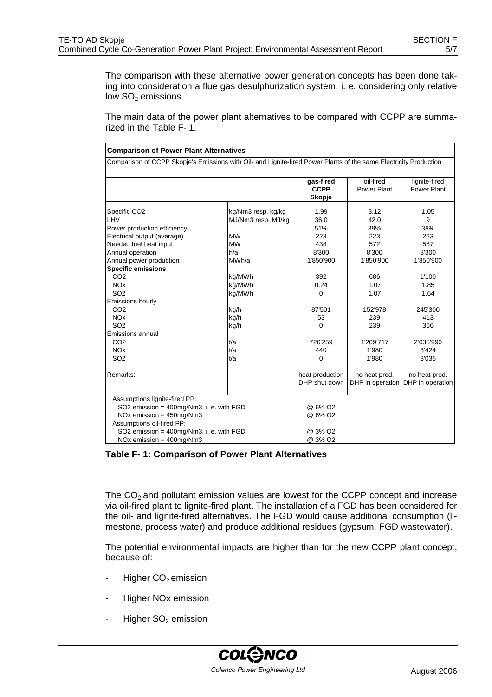The comparison with these alternative power generation concepts has been done taking into consideration a flue gas desulphurization system, i. e. considering only relative low  $SO<sub>2</sub>$  emissions.

The main data of the power plant alternatives to be compared with CCPP are summarized in the Table F- 1.

| <b>Comparison of Power Plant Alternatives</b>                                                                                                                                                                                                   |                                                                                                        |                                                                        |                                                                        |                                                                       |  |
|-------------------------------------------------------------------------------------------------------------------------------------------------------------------------------------------------------------------------------------------------|--------------------------------------------------------------------------------------------------------|------------------------------------------------------------------------|------------------------------------------------------------------------|-----------------------------------------------------------------------|--|
| Comparison of CCPP Skopje's Emissions with Oil- and Lignite-fired Power Plants of the same Electricity Production                                                                                                                               |                                                                                                        |                                                                        |                                                                        |                                                                       |  |
|                                                                                                                                                                                                                                                 |                                                                                                        | gas-fired<br><b>CCPP</b><br><b>Skopje</b>                              | oil-fired<br>Power Plant                                               | lignite-fired<br>Power Plant                                          |  |
| Specific CO <sub>2</sub><br>LHV<br>Power production efficiency<br>Electrical output (average)<br>Needed fuel heat input<br>Annual operation<br>Annual power production<br><b>Specific emissions</b><br>CO <sub>2</sub><br><b>NO<sub>x</sub></b> | kg/Nm3 resp. kg/kg<br>MJ/Nm3 resp. MJ/kg<br><b>MW</b><br><b>MW</b><br>h/a<br>MWh/a<br>kg/MWh<br>kg/MWh | 1.99<br>36.0<br>51%<br>223<br>438<br>8'300<br>1'850'900<br>392<br>0.24 | 3.12<br>42.0<br>39%<br>223<br>572<br>8'300<br>1'850'900<br>686<br>1.07 | 1.05<br>9<br>38%<br>223<br>587<br>8'300<br>1'850'900<br>1'100<br>1.85 |  |
| SO <sub>2</sub><br>Emissions hourly<br>CO <sub>2</sub><br><b>NO<sub>x</sub></b><br>SO <sub>2</sub><br>Emissions annual                                                                                                                          | kg/MWh<br>kg/h<br>kg/h<br>kg/h                                                                         | 0<br>87'501<br>53<br>0                                                 | 1.07<br>152'978<br>239<br>239                                          | 1.64<br>245'300<br>413<br>366                                         |  |
| CO <sub>2</sub><br><b>NO<sub>x</sub></b><br>SO <sub>2</sub>                                                                                                                                                                                     | t/a<br>t/a<br>t/a                                                                                      | 726'259<br>440<br>0                                                    | 1'269'717<br>1'980<br>1'980                                            | 2'035'990<br>3'424<br>3'035                                           |  |
| Remarks:                                                                                                                                                                                                                                        |                                                                                                        | heat production<br>DHP shut down                                       | no heat prod.                                                          | no heat prod.<br>DHP in operation DHP in operation                    |  |
| Assumptions lignite-fired PP:<br>SO2 emission = 400mg/Nm3, i. e. with FGD<br>$NOx$ emission = 450mg/ $Nm3$<br>Assumptions oil-fired PP:<br>SO2 emission = 400mg/Nm3, i. e. with FGD<br>$NOx$ emission = $400$ mg/ $Nm3$                         |                                                                                                        | @ 6% O <sub>2</sub><br>@ 6% O2<br>@ 3% O2<br>@ 3% O2                   |                                                                        |                                                                       |  |

**Table F- 1: Comparison of Power Plant Alternatives**

The  $CO<sub>2</sub>$  and pollutant emission values are lowest for the CCPP concept and increase via oil-fired plant to lignite-fired plant. The installation of a FGD has been considered for the oil- and lignite-fired alternatives. The FGD would cause additional consumption (limestone, process water) and produce additional residues (gypsum, FGD wastewater).

The potential environmental impacts are higher than for the new CCPP plant concept, because of:

- Higher  $CO<sub>2</sub>$  emission
- Higher NO<sub>x</sub> emission
- Higher  $SO<sub>2</sub>$  emission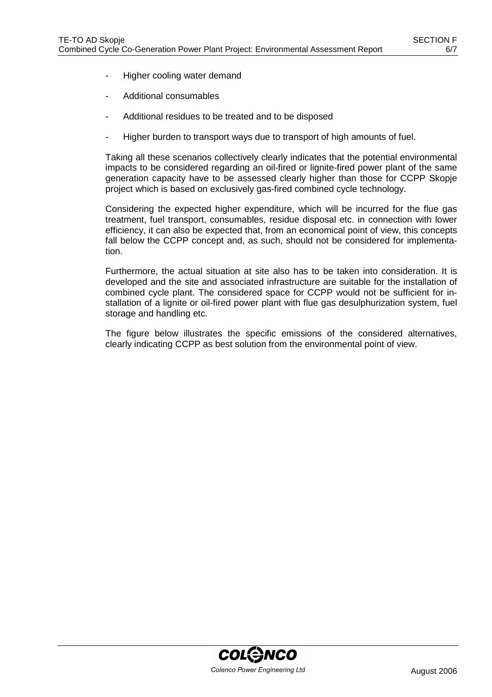- Higher cooling water demand
- Additional consumables
- Additional residues to be treated and to be disposed
- Higher burden to transport ways due to transport of high amounts of fuel.

Taking all these scenarios collectively clearly indicates that the potential environmental impacts to be considered regarding an oil-fired or lignite-fired power plant of the same generation capacity have to be assessed clearly higher than those for CCPP Skopje project which is based on exclusively gas-fired combined cycle technology.

Considering the expected higher expenditure, which will be incurred for the flue gas treatment, fuel transport, consumables, residue disposal etc. in connection with lower efficiency, it can also be expected that, from an economical point of view, this concepts fall below the CCPP concept and, as such, should not be considered for implementation.

Furthermore, the actual situation at site also has to be taken into consideration. It is developed and the site and associated infrastructure are suitable for the installation of combined cycle plant. The considered space for CCPP would not be sufficient for installation of a lignite or oil-fired power plant with flue gas desulphurization system, fuel storage and handling etc.

The figure below illustrates the specific emissions of the considered alternatives, clearly indicating CCPP as best solution from the environmental point of view.